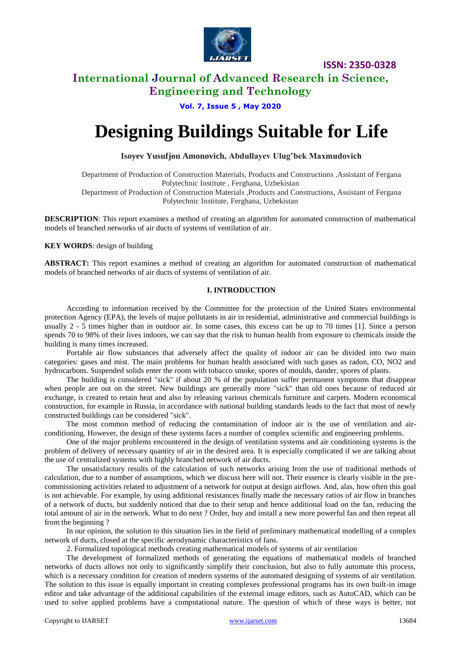

### **International Journal of Advanced Research in Science, Engineering and Technology**

**Vol. 7, Issue 5 , May 2020**

# **Designing Buildings Suitable for Life**

**Isoyev Yusufjon Amonovich, Abdullayev Ulug'bek Maxmudovich**

Department of Production of Construction Materials, Products and Constructions ,Assistant of Fergana Polytechnic Institute , Ferghana, Uzbekistan Department of Production of Construction Materials ,Products and Constructions, Assistant of Fergana Polytechnic Institute, Ferghana, Uzbekistan

**DESCRIPTION**: This report examines a method of creating an algorithm for automated construction of mathematical models of branched networks of air ducts of systems of ventilation of air.

**KEY WORDS**: design of building

**ABSTRACT:** This report examines a method of creating an algorithm for automated construction of mathematical models of branched networks of air ducts of systems of ventilation of air.

#### **I. INTRODUCTION**

According to information received by the Committee for the protection of the United States environmental protection Agency (EPA), the levels of major pollutants in air in residential, administrative and commercial buildings is usually 2 - 5 times higher than in outdoor air. In some cases, this excess can be up to 70 times [1]. Since a person spends 70 to 98% of their lives indoors, we can say that the risk to human health from exposure to chemicals inside the building is many times increased.

Portable air flow substances that adversely affect the quality of indoor air can be divided into two main categories: gases and mist. The main problems for human health associated with such gases as radon, CO, NO2 and hydrocarbons. Suspended solids enter the room with tobacco smoke, spores of moulds, dander, spores of plants.

The building is considered "sick" if about 20 % of the population suffer permanent symptoms that disappear when people are out on the street. New buildings are generally more "sick" than old ones because of reduced air exchange, is created to retain heat and also by releasing various chemicals furniture and carpets. Modern economical construction, for example in Russia, in accordance with national building standards leads to the fact that most of newly constructed buildings can be considered "sick".

The most common method of reducing the contamination of indoor air is the use of ventilation and airconditioning. However, the design of these systems faces a number of complex scientific and engineering problems.

One of the major problems encountered in the design of ventilation systems and air conditioning systems is the problem of delivery of necessary quantity of air in the desired area. It is especially complicated if we are talking about the use of centralized systems with highly branched network of air ducts.

The unsatisfactory results of the calculation of such networks arising from the use of traditional methods of calculation, due to a number of assumptions, which we discuss here will not. Their essence is clearly visible in the precommissioning activities related to adjustment of a network for output at design airflows. And, alas, how often this goal is not achievable. For example, by using additional resistances finally made the necessary ratios of air flow in branches of a network of ducts, but suddenly noticed that due to their setup and hence additional load on the fan, reducing the total amount of air in the network. What to do next ? Order, buy and install a new more powerful fan and then repeat all from the beginning ?

In our opinion, the solution to this situation lies in the field of preliminary mathematical modelling of a complex network of ducts, closed at the specific aerodynamic characteristics of fans.

2. Formalized topological methods creating mathematical models of systems of air ventilation

The development of formalized methods of generating the equations of mathematical models of branched networks of ducts allows not only to significantly simplify their conclusion, but also to fully automate this process, which is a necessary condition for creation of modern systems of the automated designing of systems of air ventilation. The solution to this issue is equally important in creating complexes professional programs has its own built-in image editor and take advantage of the additional capabilities of the external image editors, such as AutoCAD, which can be used to solve applied problems have a computational nature. The question of which of these ways is better, not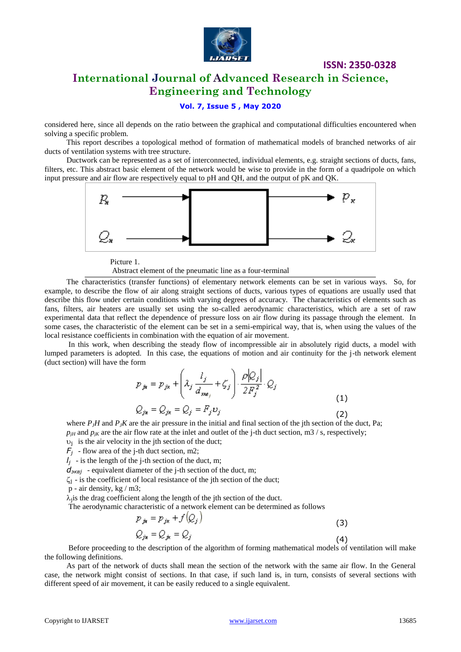

### **International Journal of Advanced Research in Science, Engineering and Technology**

#### **Vol. 7, Issue 5 , May 2020**

considered here, since all depends on the ratio between the graphical and computational difficulties encountered when solving a specific problem.

This report describes a topological method of formation of mathematical models of branched networks of air ducts of ventilation systems with tree structure.

Ductwork can be represented as a set of interconnected, individual elements, e.g. straight sections of ducts, fans, filters, etc. This abstract basic element of the network would be wise to provide in the form of a quadripole on which input pressure and air flow are respectively equal to pH and QH, and the output of pK and QK.



Picture 1.

Abstract element of the pneumatic line as a four-terminal

The characteristics (transfer functions) of elementary network elements can be set in various ways. So, for example, to describe the flow of air along straight sections of ducts, various types of equations are usually used that describe this flow under certain conditions with varying degrees of accuracy. The characteristics of elements such as fans, filters, air heaters are usually set using the so-called aerodynamic characteristics, which are a set of raw experimental data that reflect the dependence of pressure loss on air flow during its passage through the element. In some cases, the characteristic of the element can be set in a semi-empirical way, that is, when using the values of the local resistance coefficients in combination with the equation of air movement.

In this work, when describing the steady flow of incompressible air in absolutely rigid ducts, a model with lumped parameters is adopted. In this case, the equations of motion and air continuity for the j-th network element (duct section) will have the form

$$
p_{jk} = p_{jk} + \left(\lambda_j \frac{l_j}{d_{swe_j}} + \zeta_j\right) \cdot \frac{\rho |Q_j|}{2F_j^2} \cdot Q_j
$$
  

$$
Q_{jk} = Q_{jk} = Q_j = F_j v_j
$$
 (1)

where *PJH* and *PJK* are the air pressure in the initial and final section of the jth section of the duct, Pa;  $p_{jH}$  and  $p_{jK}$  are the air flow rate at the inlet and outlet of the j-th duct section, m3 / s, respectively;

 $v_j$  is the air velocity in the jth section of the duct;

 $F_i$  - flow area of the j-th duct section, m2;

 $l_j$  - is the length of the j-th section of the duct, m;

 $d_{\text{9KB}}$  - equivalent diameter of the j-th section of the duct, m;

 $\zeta_i$  - is the coefficient of local resistance of the jth section of the duct;

p - air density, kg / m3;

 $\lambda_i$  is the drag coefficient along the length of the jth section of the duct.

The aerodynamic characteristic of a network element can be determined as follows

$$
p_{jk} = p_{jk} + f(Q_j)
$$
  
\n
$$
Q_{jk} = Q_{jk} = Q_j
$$
\n(3)

Before proceeding to the description of the algorithm of forming mathematical models of ventilation will make the following definitions.

As part of the network of ducts shall mean the section of the network with the same air flow. In the General case, the network might consist of sections. In that case, if such land is, in turn, consists of several sections with different speed of air movement, it can be easily reduced to a single equivalent.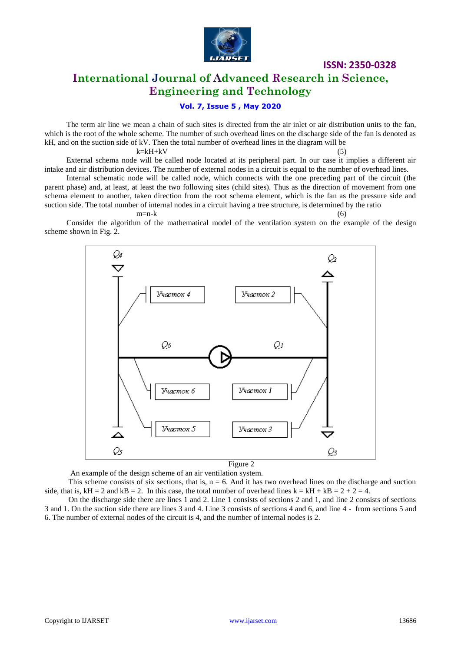

## **International Journal of Advanced Research in Science, Engineering and Technology**

### **Vol. 7, Issue 5 , May 2020**

The term air line we mean a chain of such sites is directed from the air inlet or air distribution units to the fan, which is the root of the whole scheme. The number of such overhead lines on the discharge side of the fan is denoted as kH, and on the suction side of kV. Then the total number of overhead lines in the diagram will be

 $k=kH+kV$  (5)

External schema node will be called node located at its peripheral part. In our case it implies a different air intake and air distribution devices. The number of external nodes in a circuit is equal to the number of overhead lines.

Internal schematic node will be called node, which connects with the one preceding part of the circuit (the parent phase) and, at least, at least the two following sites (child sites). Thus as the direction of movement from one schema element to another, taken direction from the root schema element, which is the fan as the pressure side and suction side. The total number of internal nodes in a circuit having a tree structure, is determined by the ratio

#### $m=n-k$  (6)

Consider the algorithm of the mathematical model of the ventilation system on the example of the design scheme shown in Fig. 2.



An example of the design scheme of an air ventilation system.

This scheme consists of six sections, that is,  $n = 6$ . And it has two overhead lines on the discharge and suction side, that is,  $kH = 2$  and  $kB = 2$ . In this case, the total number of overhead lines  $k = kH + kB = 2 + 2 = 4$ .

On the discharge side there are lines 1 and 2. Line 1 consists of sections 2 and 1, and line 2 consists of sections 3 and 1. On the suction side there are lines 3 and 4. Line 3 consists of sections 4 and 6, and line 4 - from sections 5 and 6. The number of external nodes of the circuit is 4, and the number of internal nodes is 2.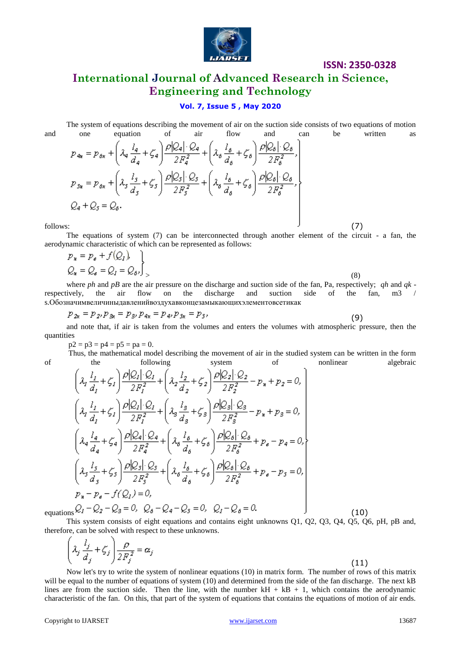

# **International Journal of Advanced Research in Science, Engineering and Technology**

#### **Vol. 7, Issue 5 , May 2020**

The system of equations describing the movement of air on the suction side consists of two equations of motion and one equation of air flow and can be written as

$$
p_{4\alpha} = p_{6\alpha} + \left(\lambda_q \frac{l_q}{d_q} + \zeta_q\right) \frac{\rho |Q_4| \cdot Q_4}{2F_q^2} + \left(\lambda_\delta \frac{l_\delta}{d_\delta} + \zeta_\delta\right) \frac{\rho |Q_\delta| \cdot Q_6}{2F_\delta^2},
$$
  
\n
$$
p_{5\alpha} = p_{6\alpha} + \left(\lambda_5 \frac{l_s}{d_s} + \zeta_5\right) \frac{\rho |Q_5| \cdot Q_5}{2F_s^2} + \left(\lambda_\delta \frac{l_\delta}{d_\delta} + \zeta_\delta\right) \frac{\rho |Q_\delta| \cdot Q_6}{2F_\delta^2},
$$
  
\n
$$
Q_4 + Q_5 = Q_6.
$$

 $f_{\text{follows:}}$  (7)

The equations of system (7) can be interconnected through another element of the circuit - a fan, the aerodynamic characteristic of which can be represented as follows:

$$
p_{\mathbf{x}} = p_{\mathbf{\varepsilon}} + f(Q_I),
$$
  
\n
$$
Q_{\mathbf{x}} = Q_{\mathbf{\varepsilon}} = Q_I = Q_{\mathbf{\varepsilon}}.
$$
\n(8)

where *ph* and *pB* are the air pressure on the discharge and suction side of the fan, Pa, respectively; *qh* and *qk* respectively, the air flow on the discharge and suction side of the fan, m3 / s.Обозначимвеличиныдавленийвоздухавконцезамыкающихэлементовсетикак

$$
p_{2x} = p_{2}, p_{3x} = p_{3}, p_{4x} = p_{4}, p_{5x} = p_{5},
$$
\n(9)

and note that, if air is taken from the volumes and enters the volumes with atmospheric pressure, then the quantities

 $p2 = p3 = p4 = p5 = pa = 0.$ 

Thus, the mathematical model describing the movement of air in the studied system can be written in the form of the following system of nonlinear algebraic

$$
\left(\lambda_{1} \frac{l_{1}}{d_{1}} + \zeta_{1}\right) \frac{\rho |\mathcal{Q}_{1}| \cdot \mathcal{Q}_{1}}{2F_{1}^{2}} + \left(\lambda_{2} \frac{l_{2}}{d_{2}} + \zeta_{2}\right) \frac{\rho |\mathcal{Q}_{2}| \cdot \mathcal{Q}_{2}}{2F_{2}^{2}} - p_{*} + p_{2} = 0,\n\left(\lambda_{1} \frac{l_{1}}{d_{1}} + \zeta_{1}\right) \frac{\rho |\mathcal{Q}_{1}| \cdot \mathcal{Q}_{1}}{2F_{1}^{2}} + \left(\lambda_{3} \frac{l_{3}}{d_{3}} + \zeta_{3}\right) \frac{\rho |\mathcal{Q}_{3}| \cdot \mathcal{Q}_{3}}{2F_{3}^{2}} - p_{*} + p_{3} = 0,\n\left(\lambda_{4} \frac{l_{4}}{d_{4}} + \zeta_{4}\right) \frac{\rho |\mathcal{Q}_{4}| \cdot \mathcal{Q}_{4}}{2F_{4}^{2}} + \left(\lambda_{6} \frac{l_{6}}{d_{6}} + \zeta_{6}\right) \frac{\rho |\mathcal{Q}_{6}| \cdot \mathcal{Q}_{6}}{2F_{6}^{2}} + p_{e} - p_{4} = 0,\n\left(\lambda_{5} \frac{l_{3}}{d_{5}} + \zeta_{5}\right) \frac{\rho |\mathcal{Q}_{5}| \cdot \mathcal{Q}_{5}}{2F_{5}^{2}} + \left(\lambda_{6} \frac{l_{6}}{d_{6}} + \zeta_{6}\right) \frac{\rho |\mathcal{Q}_{6}| \cdot \mathcal{Q}_{6}}{2F_{6}^{2}} + p_{e} - p_{5} = 0,\np_{*} - p_{e} - f(\mathcal{Q}_{1}) = 0,\nequations  $\mathcal{Q}_{1} - \mathcal{Q}_{2} - \mathcal{Q}_{3} = 0$ ,  $\mathcal{Q}_{6} - \mathcal{Q}_{4} - \mathcal{Q}_{5} = 0$ ,  $\mathcal{Q}_{1} - \mathcal{Q}_{6} = 0$ . (10)
$$

This system consists of eight equations and contains eight unknowns Q1, Q2, Q3, Q4, Q5, Q6, pH, pB and, therefore, can be solved with respect to these unknowns.  $\Delta$ 

$$
\left(\lambda_j \frac{l_j}{d_j} + \zeta_j\right) \frac{\rho}{2F_j^2} = \alpha_j \tag{11}
$$

Now let's try to write the system of nonlinear equations (10) in matrix form. The number of rows of this matrix will be equal to the number of equations of system (10) and determined from the side of the fan discharge. The next kB lines are from the suction side. Then the line, with the number  $kH + kB + 1$ , which contains the aerodynamic characteristic of the fan. On this, that part of the system of equations that contains the equations of motion of air ends.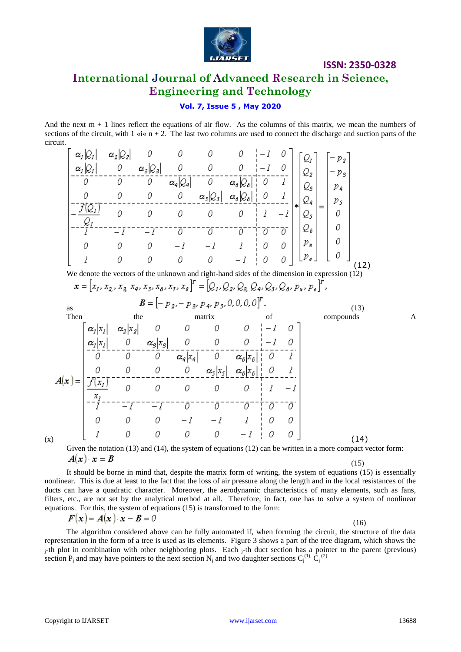

# **International Journal of Advanced Research in Science, Engineering and Technology**

### **Vol. 7, Issue 5 , May 2020**

And the next  $m + 1$  lines reflect the equations of air flow. As the columns of this matrix, we mean the numbers of sections of the circuit, with  $1 \times i \times n + 2$ . The last two columns are used to connect the discharge and suction parts of the circuit.  $\sim$  $\mathbf{r}$  $\sim$ 

$$
\begin{bmatrix}\n\alpha_1|Q_1| & \alpha_2|Q_2| & 0 & 0 & 0 & 0 & -1 & 0 \\
\alpha_2|Q_2| & 0 & \alpha_3|Q_3| & 0 & 0 & -1 & 0 & 0 \\
0 & 0 & 0 & 0 & \alpha_4|Q_4| & 0 & -1 & 0 & 0 \\
0 & 0 & 0 & 0 & \alpha_5|Q_5| & \alpha_6|Q_5| & 0 & 1 & -1 \\
\hline\n\frac{Q_1}{Q_2} & 0 & 0 & 0 & 0 & 0 & 1 & -1 & 0 \\
-\frac{Q_2}{I} & 0 & 0 & 0 & 0 & 0 & 1 & -1 & 0 & 0 \\
0 & 0 & 0 & -1 & -1 & 1 & 0 & 0 & 0 & 0 \\
1 & 0 & 0 & 0 & 0 & -1 & 0 & 0 & 0 & 0 \\
1 & 0 & 0 & 0 & 0 & -1 & 0 & 0 & 0 & 0 \\
x & 0 & 0 & 0 & -1 & 0 & 0 & 0 & 0 & 0 \\
x & 0 & 0 & 0 & -1 & 0 & 0 & 0 & 0 & 0 \\
x & 0 & 0 & 0 & -1 & 0 & 0 & 0 & 0 & 0 \\
x & 0 & 0 & 0 & -1 & 0 & 0 & 0 & 0 & 0 \\
x & 0 & 0 & 0 & 0 & 0 & -1 & 0 & 0 & 0 \\
x & 0 & 0 & 0 & 0 & 0 & 0 & -1 & 0 & 0 \\
x & 0 & 0 & 0 & 0 & 0 & 0 & -1 & 0 & 0 \\
x_1|x_1| & \alpha_2|x_2| & 0 & 0 & 0 & 0 & -1 & 0 & 0 \\
\hline\n\alpha_1|x_1| & \alpha_2|x_2| & 0 & 0 & 0 & 0 & -1 & 0 \\
\hline\n\alpha_2|x_1| & 0 & \alpha_3|x_3| & 0 & 0 & 0 & -1 & 0 \\
\hline\n\alpha_3|x_2| & 0 & 0 & 0 & 0 & 0 & 1 & -1 \\
\hline\n\frac{\alpha_2|x_2|}{\sqrt{x_2y}} & 0 & 0 & 0 & 0 & 0 & 1 & -1 & 0 \\
\hline\n\alpha_3|x_3| & 0 & 0 & 0 & 0 & 1 & -1 & 0 \\
\hline
$$

 $(x)$  (i.e.  $(x)$ ) (i.e.  $(x)$ ) (i.e.  $(x)$ ) (i.e.  $(x)$ ) (i.e.  $(x)$ ) (i.e.  $(x)$ ) (i.e.  $(x)$ ) (i.e.  $(x)$ ) (i.e.  $(x)$ ) (i.e.  $(x)$ ) (i.e.  $(x)$ ) (i.e.  $(x)$ ) (i.e.  $(x)$ ) (i.e.  $(x)$ ) (i.e.  $(x)$ ) (i.e.  $(x)$ ) (i.e.  $(x)$ ) (i.e.  $(x)$ )

Given the notation (13) and (14), the system of equations (12) can be written in a more compact vector form:  $A(x) \cdot x = B$ (15)

It should be borne in mind that, despite the matrix form of writing, the system of equations (15) is essentially nonlinear. This is due at least to the fact that the loss of air pressure along the length and in the local resistances of the ducts can have a quadratic character. Moreover, the aerodynamic characteristics of many elements, such as fans, filters, etc., are not set by the analytical method at all. Therefore, in fact, one has to solve a system of nonlinear equations. For this, the system of equations (15) is transformed to the form:

$$
F(x) = A(x) \cdot x - B = 0
$$

The algorithm considered above can be fully automated if, when forming the circuit, the structure of the data representation in the form of a tree is used as its elements. Figure 3 shows a part of the tree diagram, which shows the <sup>j</sup>-th plot in combination with other neighboring plots. Each j-th duct section has a pointer to the parent (previous) section P<sub>j</sub> and may have pointers to the next section N<sub>j</sub> and two daughter sections C<sub>j</sub><sup>(1),</sup> C<sub>j</sub><sup>(2)</sup>.

(16)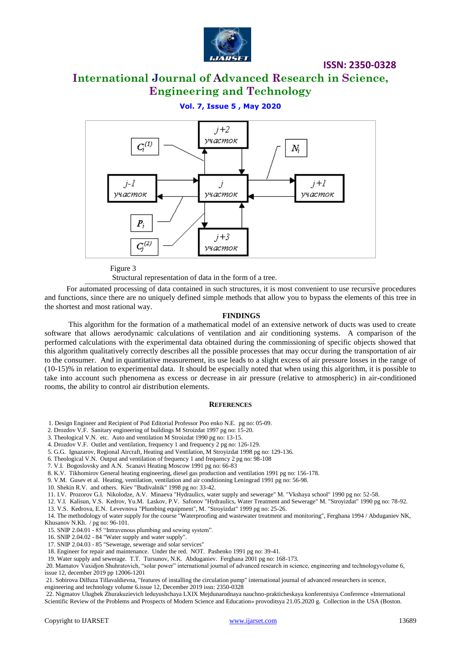

# **International Journal of Advanced Research in Science, Engineering and Technology**

**Vol. 7, Issue 5 , May 2020**



Figure 3

Structural representation of data in the form of a tree.

For automated processing of data contained in such structures, it is most convenient to use recursive procedures and functions, since there are no uniquely defined simple methods that allow you to bypass the elements of this tree in the shortest and most rational way.

#### **FINDINGS**

This algorithm for the formation of a mathematical model of an extensive network of ducts was used to create software that allows aerodynamic calculations of ventilation and air conditioning systems. A comparison of the performed calculations with the experimental data obtained during the commissioning of specific objects showed that this algorithm qualitatively correctly describes all the possible processes that may occur during the transportation of air to the consumer. And in quantitative measurement, its use leads to a slight excess of air pressure losses in the range of (10-15)% in relation to experimental data. It should be especially noted that when using this algorithm, it is possible to take into account such phenomena as excess or decrease in air pressure (relative to atmospheric) in air-conditioned rooms, the ability to control air distribution elements.

#### **REFERENCES**

1. Design Engineer and Recipient of Pod Editorial Professor Poo enko N.E. pg no: 05-09.

2. Drozdov V.F. Sanitary engineering of buildings M Stroizdat 1997 pg no: 15-20.

3. Theological V.N. etc. Auto and ventilation M Stroizdat 1990 pg no: 13-15.

4. Drozdov V.F. Outlet and ventilation, frequency 1 and frequency 2 pg no: 126-129.

5. G.G. Ignazarov, Regional Aircraft, Heating and Ventilation, M Stroyizdat 1998 pg no: 129-136.

6. Theological V.N. Output and ventilation of frequency 1 and frequency 2 pg no: 98-108

7. V.I. Bogoslovsky and A.N. Scanavi Heating Moscow 1991 pg no: 66-83

8. K.V. Tikhomirov General heating engineering, diesel gas production and ventilation 1991 pg no: 156-178.

9. V.M. Gusev et al. Heating, ventilation, ventilation and air conditioning Leningrad 1991 pg no: 56-98.

10. Shekin R.V. and others. Kiev "Budivalnik" 1998 pg no: 33-42.

11. I.V. Prozorov G.I. Nikolodze, A.V. Minaeva "Hydraulics, water supply and sewerage" M. "Vkshaya school" 1990 pg no: 52-58.

12. V.I. Kalisun, V.S. Kedrov, Yu.M. Laskov, P.V. Safonov "Hydraulics, Water Treatment and Sewerage" M. "Stroyizdat" 1990 pg no: 78-92. 13. V.S. Kedrova, E.N. Levevnova "Plumbing equipment", M. "Stroyizdat" 1999 pg no: 25-26.

14. The methodology of water supply for the course "Waterproofing and wastewater treatment and monitoring", Ferghana 1994 / Abduganiev NK, Khusanov N.Kh. / pg no: 96-101.

15. SNIP 2.04.01 - 85 "Intravenous plumbing and sewing system".

16. SNIP 2.04.02 - 84 "Water supply and water supply".

17. SNIP 2.04.03 - 85 "Sewerage, sewerage and solar services"

18. Engineer for repair and maintenance. Under the red. NOT. Pashenko 1991 pg no: 39-41.

19. Water supply and sewerage. T.T. Tursunov, N.K. Abduganiev. Ferghana 2001 pg no: 168-173.

20. Mamatov Vaxidjon Shuhratovich, "solar power" international journal of advanced research in science, engineering and technologyvolume 6, issue 12, december 2019 pp 12006-1201

21. Sobirova Dilfuza Tillavaldievna, "features of installing the circulation pump" international journal of advanced researchers in scence, engineering and technology volume 6.issue 12, December 2019 issn: 2350-0328

22. Nigmatov Ulugbek Zhurakuzievich leduyushchaya LXIX Mejdunarodnaya nauchno-prakticheskaya konferentsiya Conference «International Scientific Review of the Problems and Prospects of Modern Science and Education» provoditsya 21.05.2020 g. Collection in the USA (Boston.